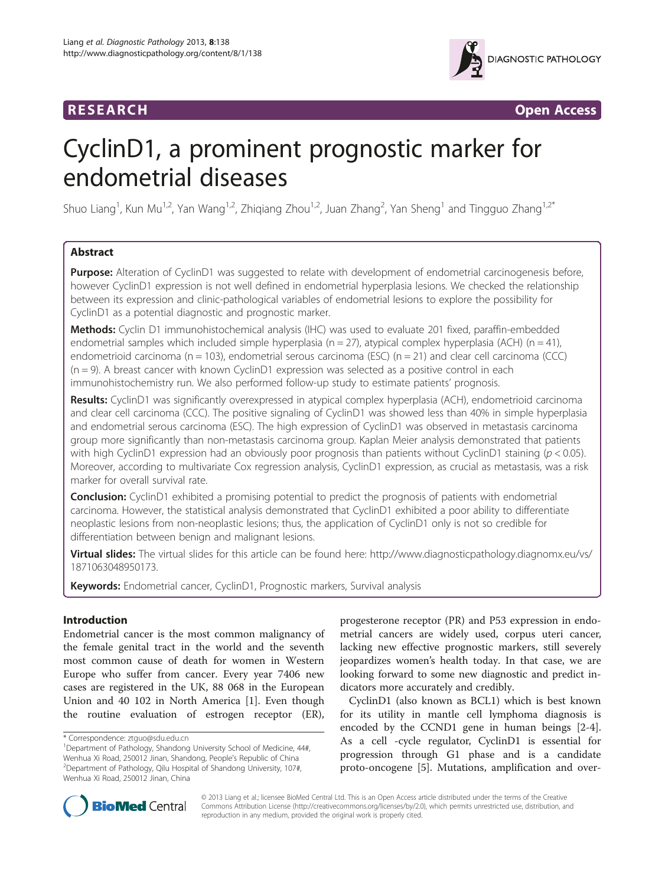

**RESEARCH RESEARCH** *CHECKER CHECKER CHECKER CHECKER CHECKER CHECKER CHECKER CHECKER CHECKER CHECKER CHECKER* 

# CyclinD1, a prominent prognostic marker for endometrial diseases

Shuo Liang<sup>1</sup>, Kun Mu<sup>1,2</sup>, Yan Wang<sup>1,2</sup>, Zhiqiang Zhou<sup>1,2</sup>, Juan Zhang<sup>2</sup>, Yan Sheng<sup>1</sup> and Tingguo Zhang<sup>1,2\*</sup>

# Abstract

Purpose: Alteration of CyclinD1 was suggested to relate with development of endometrial carcinogenesis before, however CyclinD1 expression is not well defined in endometrial hyperplasia lesions. We checked the relationship between its expression and clinic-pathological variables of endometrial lesions to explore the possibility for CyclinD1 as a potential diagnostic and prognostic marker.

Methods: Cyclin D1 immunohistochemical analysis (IHC) was used to evaluate 201 fixed, paraffin-embedded endometrial samples which included simple hyperplasia ( $n = 27$ ), atypical complex hyperplasia (ACH) ( $n = 41$ ), endometrioid carcinoma (n = 103), endometrial serous carcinoma (ESC) (n = 21) and clear cell carcinoma (CCC)  $(n = 9)$ . A breast cancer with known CyclinD1 expression was selected as a positive control in each immunohistochemistry run. We also performed follow-up study to estimate patients' prognosis.

Results: CyclinD1 was significantly overexpressed in atypical complex hyperplasia (ACH), endometrioid carcinoma and clear cell carcinoma (CCC). The positive signaling of CyclinD1 was showed less than 40% in simple hyperplasia and endometrial serous carcinoma (ESC). The high expression of CyclinD1 was observed in metastasis carcinoma group more significantly than non-metastasis carcinoma group. Kaplan Meier analysis demonstrated that patients with high CyclinD1 expression had an obviously poor prognosis than patients without CyclinD1 staining ( $p < 0.05$ ). Moreover, according to multivariate Cox regression analysis, CyclinD1 expression, as crucial as metastasis, was a risk marker for overall survival rate.

**Conclusion:** CyclinD1 exhibited a promising potential to predict the prognosis of patients with endometrial carcinoma. However, the statistical analysis demonstrated that CyclinD1 exhibited a poor ability to differentiate neoplastic lesions from non-neoplastic lesions; thus, the application of CyclinD1 only is not so credible for differentiation between benign and malignant lesions.

Virtual slides: The virtual slides for this article can be found here: [http://www.diagnosticpathology.diagnomx.eu/vs/](http://www.diagnosticpathology.diagnomx.eu/vs/1871063048950173) [1871063048950173.](http://www.diagnosticpathology.diagnomx.eu/vs/1871063048950173)

Keywords: Endometrial cancer, CyclinD1, Prognostic markers, Survival analysis

# Introduction

Endometrial cancer is the most common malignancy of the female genital tract in the world and the seventh most common cause of death for women in Western Europe who suffer from cancer. Every year 7406 new cases are registered in the UK, 88 068 in the European Union and 40 102 in North America [[1\]](#page-6-0). Even though the routine evaluation of estrogen receptor (ER),

progesterone receptor (PR) and P53 expression in endometrial cancers are widely used, corpus uteri cancer, lacking new effective prognostic markers, still severely jeopardizes women's health today. In that case, we are looking forward to some new diagnostic and predict indicators more accurately and credibly.

CyclinD1 (also known as BCL1) which is best known for its utility in mantle cell lymphoma diagnosis is encoded by the CCND1 gene in human beings [[2-4](#page-6-0)]. As a cell -cycle regulator, CyclinD1 is essential for progression through G1 phase and is a candidate proto-oncogene [\[5\]](#page-6-0). Mutations, amplification and over-



© 2013 Liang et al.; licensee BioMed Central Ltd. This is an Open Access article distributed under the terms of the Creative Commons Attribution License [\(http://creativecommons.org/licenses/by/2.0\)](http://creativecommons.org/licenses/by/2.0), which permits unrestricted use, distribution, and reproduction in any medium, provided the original work is properly cited.

<sup>\*</sup> Correspondence: [ztguo@sdu.edu.cn](mailto:ztguo@sdu.edu.cn) <sup>1</sup>

Department of Pathology, Shandong University School of Medicine, 44#, Wenhua Xi Road, 250012 Jinan, Shandong, People's Republic of China 2 Department of Pathology, Qilu Hospital of Shandong University, 107#, Wenhua Xi Road, 250012 Jinan, China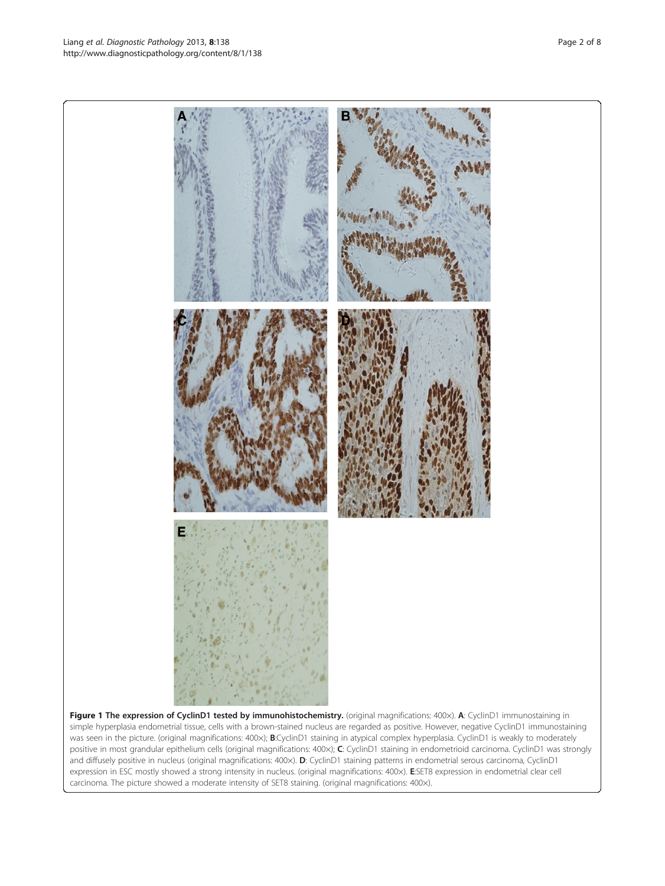Figure 1 The expression of CyclinD1 tested by immunohistochemistry. (original magnifications: 400x). A: CyclinD1 immunostaining in simple hyperplasia endometrial tissue, cells with a brown-stained nucleus are regarded as positive. However, negative CyclinD1 immunostaining was seen in the picture. (original magnifications: 400x); **B**:CyclinD1 staining in atypical complex hyperplasia. CyclinD1 is weakly to moderately positive in most grandular epithelium cells (original magnifications: 400x); C: CyclinD1 staining in endometrioid carcinoma. CyclinD1 was strongly and diffusely positive in nucleus (original magnifications: 400x). D: CyclinD1 staining patterns in endometrial serous carcinoma, CyclinD1 expression in ESC mostly showed a strong intensity in nucleus. (original magnifications: 400×). E:SET8 expression in endometrial clear cell carcinoma. The picture showed a moderate intensity of SET8 staining. (original magnifications: 400×).

<span id="page-1-0"></span>http://www.diagnosticpathology.org/content/8/1/138

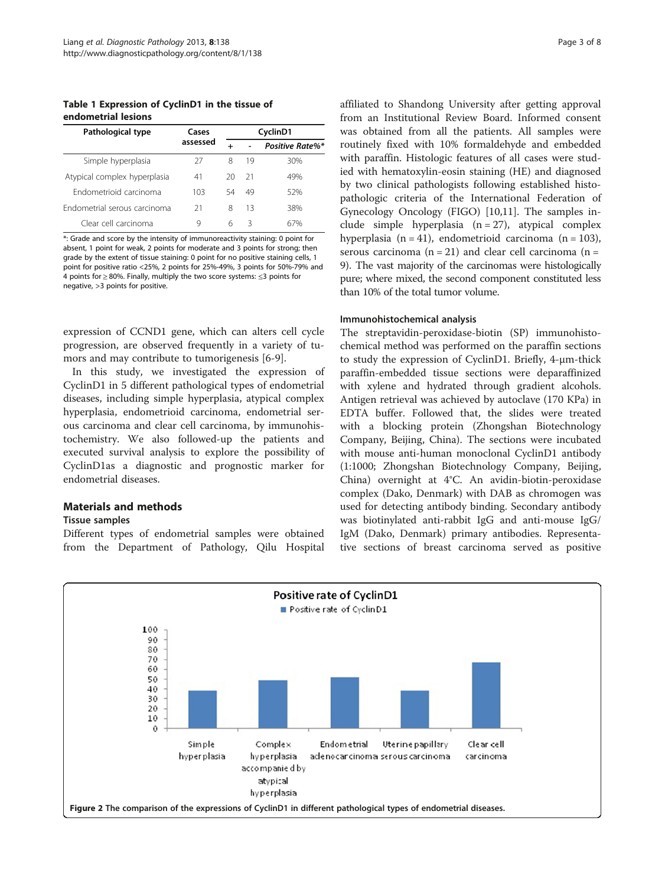<span id="page-2-0"></span>Table 1 Expression of CyclinD1 in the tissue of endometrial lesions

| Pathological type            | Cases    | CyclinD1 |    |                 |  |
|------------------------------|----------|----------|----|-----------------|--|
|                              | assessed |          |    | Positive Rate%* |  |
| Simple hyperplasia           | 27       | 8        | 19 | 30%             |  |
| Atypical complex hyperplasia | 41       | 20       | 21 | 49%             |  |
| Endometrioid carcinoma       | 103      | 54       | 49 | 52%             |  |
| Endometrial serous carcinoma | 21       | 8        | 13 | 38%             |  |
| Clear cell carcinoma         | q        | 6        | ੨  | 6/%             |  |

\*: Grade and score by the intensity of immunoreactivity staining: 0 point for absent, 1 point for weak, 2 points for moderate and 3 points for strong; then grade by the extent of tissue staining: 0 point for no positive staining cells, 1 point for positive ratio <25%, 2 points for 25%-49%, 3 points for 50%-79% and 4 points for ≥ 80%. Finally, multiply the two score systems: ≤3 points for negative, >3 points for positive.

expression of CCND1 gene, which can alters cell cycle progression, are observed frequently in a variety of tumors and may contribute to tumorigenesis [[6-9](#page-6-0)].

In this study, we investigated the expression of CyclinD1 in 5 different pathological types of endometrial diseases, including simple hyperplasia, atypical complex hyperplasia, endometrioid carcinoma, endometrial serous carcinoma and clear cell carcinoma, by immunohistochemistry. We also followed-up the patients and executed survival analysis to explore the possibility of CyclinD1as a diagnostic and prognostic marker for endometrial diseases.

# Materials and methods

#### Tissue samples

Different types of endometrial samples were obtained from the Department of Pathology, Qilu Hospital affiliated to Shandong University after getting approval from an Institutional Review Board. Informed consent was obtained from all the patients. All samples were routinely fixed with 10% formaldehyde and embedded with paraffin. Histologic features of all cases were studied with hematoxylin-eosin staining (HE) and diagnosed by two clinical pathologists following established histopathologic criteria of the International Federation of Gynecology Oncology (FIGO) [\[10,11\]](#page-6-0). The samples include simple hyperplasia  $(n = 27)$ , atypical complex hyperplasia  $(n = 41)$ , endometrioid carcinoma  $(n = 103)$ , serous carcinoma ( $n = 21$ ) and clear cell carcinoma ( $n =$ 9). The vast majority of the carcinomas were histologically pure; where mixed, the second component constituted less than 10% of the total tumor volume.

#### Immunohistochemical analysis

The streptavidin-peroxidase-biotin (SP) immunohistochemical method was performed on the paraffin sections to study the expression of CyclinD1. Briefly, 4-μm-thick paraffin-embedded tissue sections were deparaffinized with xylene and hydrated through gradient alcohols. Antigen retrieval was achieved by autoclave (170 KPa) in EDTA buffer. Followed that, the slides were treated with a blocking protein (Zhongshan Biotechnology Company, Beijing, China). The sections were incubated with mouse anti-human monoclonal CyclinD1 antibody (1:1000; Zhongshan Biotechnology Company, Beijing, China) overnight at 4°C. An avidin-biotin-peroxidase complex (Dako, Denmark) with DAB as chromogen was used for detecting antibody binding. Secondary antibody was biotinylated anti-rabbit IgG and anti-mouse IgG/ IgM (Dako, Denmark) primary antibodies. Representative sections of breast carcinoma served as positive

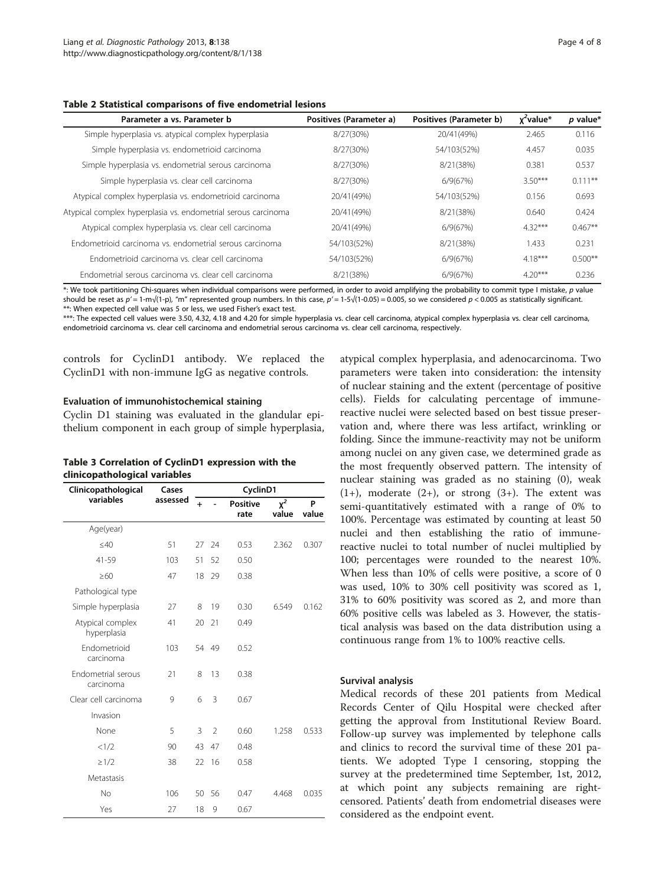<span id="page-3-0"></span>

| Table 2 Statistical comparisons of five endometrial lesions   |                         |                         |              |            |  |  |
|---------------------------------------------------------------|-------------------------|-------------------------|--------------|------------|--|--|
| Parameter a vs. Parameter b                                   | Positives (Parameter a) | Positives (Parameter b) | $x^2$ value* | $p$ value* |  |  |
| Simple hyperplasia vs. atypical complex hyperplasia           | 8/27(30%)               | 20/41(49%)              | 2.465        | 0.116      |  |  |
| Simple hyperplasia vs. endometrioid carcinoma                 | 8/27(30%)               | 54/103(52%)             | 4.457        | 0.035      |  |  |
| Simple hyperplasia vs. endometrial serous carcinoma           | 8/27(30%)               | 8/21(38%)               | 0.381        | 0.537      |  |  |
| Simple hyperplasia vs. clear cell carcinoma                   | 8/27(30%)               | 6/9(67%)                | $3.50***$    | $0.111**$  |  |  |
| Atypical complex hyperplasia vs. endometrioid carcinoma       | 20/41(49%)              | 54/103(52%)             | 0.156        | 0.693      |  |  |
| Atypical complex hyperplasia vs. endometrial serous carcinoma | 20/41(49%)              | 8/21(38%)               | 0.640        | 0.424      |  |  |

Atypical complex hyperplasia vs. clear cell carcinoma  $20/41(49%)$   $6/9(67%)$   $4.32***$   $0.467**$ Endometrioid carcinoma vs. endometrial serous carcinoma 54/103(52%) 8/21(38%) 1.433 0.231 Endometrioid carcinoma vs. clear cell carcinoma 64/103(52%) 6/9(67%) 4.18\*\*\* 0.500\*\* Endometrial serous carcinoma vs. clear cell carcinoma 8/21(38%) 6/9(67%) 4.20\*\*\* 0.236

#### Table 2 Statistical comparisons of five endometrial lesions

\*: We took partitioning Chi-squares when individual comparisons were performed, in order to avoid amplifying the probability to commit type I mistake, p value should be reset as  $p' = 1-m/(1-p)$ , "m" represented group numbers. In this case,  $p' = 1-5/(1-0.05) = 0.005$ , so we considered  $p < 0.005$  as statistically significant. \*\*: When expected cell value was 5 or less, we used Fisher's exact test.

\*\*\*: The expected cell values were 3.50, 4.32, 4.18 and 4.20 for simple hyperplasia vs. clear cell carcinoma, atypical complex hyperplasia vs. clear cell carcinoma, endometrioid carcinoma vs. clear cell carcinoma and endometrial serous carcinoma vs. clear cell carcinoma, respectively.

controls for CyclinD1 antibody. We replaced the CyclinD1 with non-immune IgG as negative controls.

#### Evaluation of immunohistochemical staining

Cyclin D1 staining was evaluated in the glandular epithelium component in each group of simple hyperplasia,

| Table 3 Correlation of CyclinD1 expression with the |  |  |
|-----------------------------------------------------|--|--|
| clinicopathological variables                       |  |  |

| Clinicopathological             | Cases    | CyclinD1  |                |                         |                   |            |
|---------------------------------|----------|-----------|----------------|-------------------------|-------------------|------------|
| variables                       | assessed | $\ddot{}$ |                | <b>Positive</b><br>rate | $\chi^2$<br>value | P<br>value |
| Age(year)                       |          |           |                |                         |                   |            |
| $\leq 40$                       | 51       | 27        | 24             | 0.53                    | 2.362             | 0.307      |
| 41-59                           | 103      | 51        | 52             | 0.50                    |                   |            |
| $\geq 60$                       | 47       |           | 18 29          | 0.38                    |                   |            |
| Pathological type               |          |           |                |                         |                   |            |
| Simple hyperplasia              | 27       | 8         | 19             | 0.30                    | 6.549             | 0.162      |
| Atypical complex<br>hyperplasia | 41       | 20        | 21             | 0.49                    |                   |            |
| Endometrioid<br>carcinoma       | 103      |           | 54 49          | 0.52                    |                   |            |
| Endometrial serous<br>carcinoma | 21       | 8         | 13             | 0.38                    |                   |            |
| Clear cell carcinoma            | 9        | 6         | 3              | 0.67                    |                   |            |
| Invasion                        |          |           |                |                         |                   |            |
| None                            | 5        | 3         | $\mathfrak{D}$ | 0.60                    | 1.258             | 0.533      |
| <1/2                            | 90       | 43        | 47             | 0.48                    |                   |            |
| $\geq$ 1/2                      | 38       | 22        | 16             | 0.58                    |                   |            |
| Metastasis                      |          |           |                |                         |                   |            |
| <b>No</b>                       | 106      | 50        | 56             | 0.47                    | 4.468             | 0.035      |
| Yes                             | 27       | 18        | 9              | 0.67                    |                   |            |

atypical complex hyperplasia, and adenocarcinoma. Two parameters were taken into consideration: the intensity of nuclear staining and the extent (percentage of positive cells). Fields for calculating percentage of immunereactive nuclei were selected based on best tissue preservation and, where there was less artifact, wrinkling or folding. Since the immune-reactivity may not be uniform among nuclei on any given case, we determined grade as the most frequently observed pattern. The intensity of nuclear staining was graded as no staining (0), weak  $(1+)$ , moderate  $(2+)$ , or strong  $(3+)$ . The extent was semi-quantitatively estimated with a range of 0% to 100%. Percentage was estimated by counting at least 50 nuclei and then establishing the ratio of immunereactive nuclei to total number of nuclei multiplied by 100; percentages were rounded to the nearest 10%. When less than 10% of cells were positive, a score of 0 was used, 10% to 30% cell positivity was scored as 1, 31% to 60% positivity was scored as 2, and more than 60% positive cells was labeled as 3. However, the statistical analysis was based on the data distribution using a continuous range from 1% to 100% reactive cells.

#### Survival analysis

Medical records of these 201 patients from Medical Records Center of Qilu Hospital were checked after getting the approval from Institutional Review Board. Follow-up survey was implemented by telephone calls and clinics to record the survival time of these 201 patients. We adopted Type I censoring, stopping the survey at the predetermined time September, 1st, 2012, at which point any subjects remaining are rightcensored. Patients' death from endometrial diseases were considered as the endpoint event.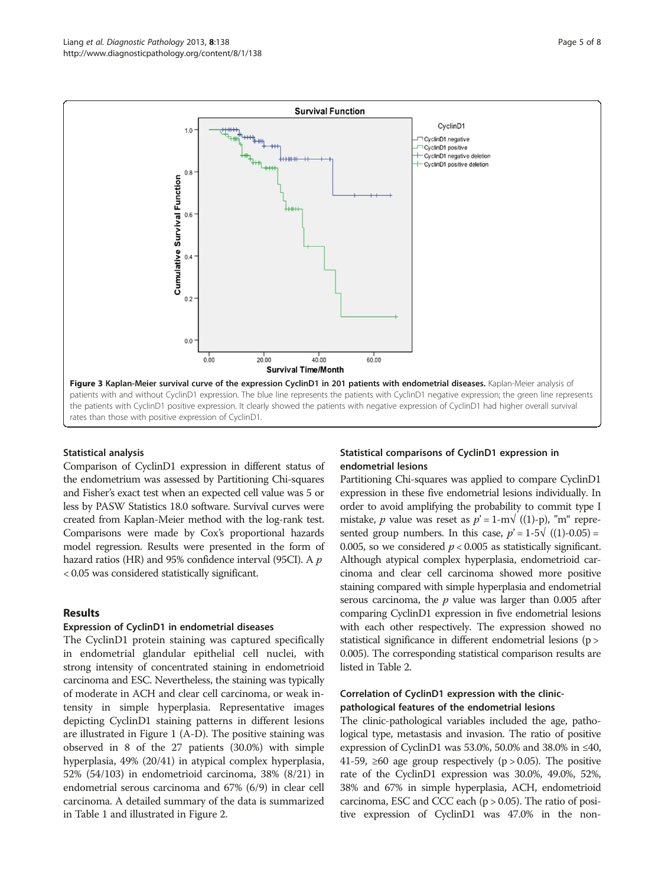<span id="page-4-0"></span>

#### Statistical analysis

Comparison of CyclinD1 expression in different status of the endometrium was assessed by Partitioning Chi-squares and Fisher's exact test when an expected cell value was 5 or less by PASW Statistics 18.0 software. Survival curves were created from Kaplan-Meier method with the log-rank test. Comparisons were made by Cox's proportional hazards model regression. Results were presented in the form of hazard ratios (HR) and 95% confidence interval (95CI). A p < 0.05 was considered statistically significant.

#### Results

### Expression of CyclinD1 in endometrial diseases

The CyclinD1 protein staining was captured specifically in endometrial glandular epithelial cell nuclei, with strong intensity of concentrated staining in endometrioid carcinoma and ESC. Nevertheless, the staining was typically of moderate in ACH and clear cell carcinoma, or weak intensity in simple hyperplasia. Representative images depicting CyclinD1 staining patterns in different lesions are illustrated in Figure [1](#page-1-0) (A-D). The positive staining was observed in 8 of the 27 patients (30.0%) with simple hyperplasia, 49% (20/41) in atypical complex hyperplasia, 52% (54/103) in endometrioid carcinoma, 38% (8/21) in endometrial serous carcinoma and 67% (6/9) in clear cell carcinoma. A detailed summary of the data is summarized in Table [1](#page-2-0) and illustrated in Figure [2.](#page-2-0)

# Statistical comparisons of CyclinD1 expression in endometrial lesions

Partitioning Chi-squares was applied to compare CyclinD1 expression in these five endometrial lesions individually. In order to avoid amplifying the probability to commit type I mistake, *p* value was reset as  $p' = 1-m\sqrt{(1-p)}$ , "m" represented group numbers. In this case,  $p' = 1-5\sqrt{(1)-0.05)}$ 0.005, so we considered  $p < 0.005$  as statistically significant. Although atypical complex hyperplasia, endometrioid carcinoma and clear cell carcinoma showed more positive staining compared with simple hyperplasia and endometrial serous carcinoma, the  $p$  value was larger than 0.005 after comparing CyclinD1 expression in five endometrial lesions with each other respectively. The expression showed no statistical significance in different endometrial lesions (p > 0.005). The corresponding statistical comparison results are listed in Table [2.](#page-3-0)

# Correlation of CyclinD1 expression with the clinicpathological features of the endometrial lesions

The clinic-pathological variables included the age, pathological type, metastasis and invasion. The ratio of positive expression of CyclinD1 was 53.0%, 50.0% and 38.0% in ≤40, 41-59, ≥60 age group respectively ( $p > 0.05$ ). The positive rate of the CyclinD1 expression was 30.0%, 49.0%, 52%, 38% and 67% in simple hyperplasia, ACH, endometrioid carcinoma, ESC and CCC each  $(p > 0.05)$ . The ratio of positive expression of CyclinD1 was 47.0% in the non-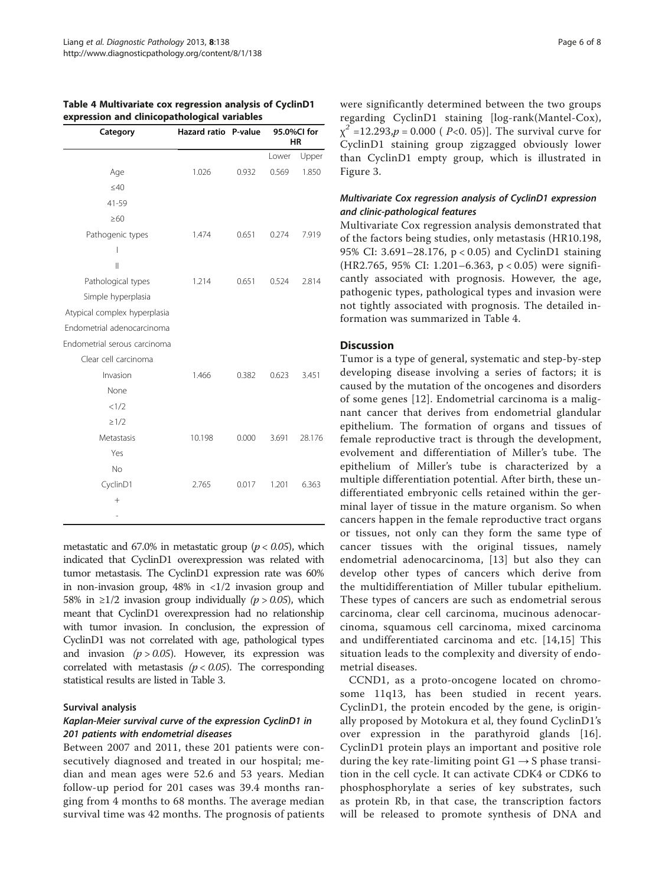| Table 4 Multivariate cox regression analysis of CyclinD1 |  |
|----------------------------------------------------------|--|
| expression and clinicopathological variables             |  |

| Category                     | Hazard ratio P-value |       | 95.0%Cl for<br>HR |        |  |
|------------------------------|----------------------|-------|-------------------|--------|--|
|                              |                      |       | Lower             | Upper  |  |
| Age                          | 1.026                | 0.932 | 0.569             | 1.850  |  |
| $\leq 40$                    |                      |       |                   |        |  |
| 41-59                        |                      |       |                   |        |  |
| $\geq 60$                    |                      |       |                   |        |  |
| Pathogenic types             | 1.474                | 0.651 | 0.274             | 7.919  |  |
| I                            |                      |       |                   |        |  |
| $\mathbf{I}$                 |                      |       |                   |        |  |
| Pathological types           | 1.214                | 0.651 | 0.524             | 2.814  |  |
| Simple hyperplasia           |                      |       |                   |        |  |
| Atypical complex hyperplasia |                      |       |                   |        |  |
| Endometrial adenocarcinoma   |                      |       |                   |        |  |
| Endometrial serous carcinoma |                      |       |                   |        |  |
| Clear cell carcinoma         |                      |       |                   |        |  |
| Invasion                     | 1.466                | 0.382 | 0.623             | 3.451  |  |
| None                         |                      |       |                   |        |  |
| <1/2                         |                      |       |                   |        |  |
| $\geq$ 1/2                   |                      |       |                   |        |  |
| Metastasis                   | 10.198               | 0.000 | 3.691             | 28.176 |  |
| Yes                          |                      |       |                   |        |  |
| <b>No</b>                    |                      |       |                   |        |  |
| CyclinD1                     | 2.765                | 0.017 | 1.201             | 6.363  |  |
| $+$                          |                      |       |                   |        |  |
|                              |                      |       |                   |        |  |

metastatic and 67.0% in metastatic group ( $p < 0.05$ ), which indicated that CyclinD1 overexpression was related with tumor metastasis. The CyclinD1 expression rate was 60% in non-invasion group,  $48\%$  in  $\langle 1/2 \rangle$  invasion group and 58% in ≥1/2 invasion group individually ( $p > 0.05$ ), which meant that CyclinD1 overexpression had no relationship with tumor invasion. In conclusion, the expression of CyclinD1 was not correlated with age, pathological types and invasion  $(p > 0.05)$ . However, its expression was correlated with metastasis ( $p < 0.05$ ). The corresponding statistical results are listed in Table [3.](#page-3-0)

#### Survival analysis

# Kaplan-Meier survival curve of the expression CyclinD1 in 201 patients with endometrial diseases

Between 2007 and 2011, these 201 patients were consecutively diagnosed and treated in our hospital; median and mean ages were 52.6 and 53 years. Median follow-up period for 201 cases was 39.4 months ranging from 4 months to 68 months. The average median survival time was 42 months. The prognosis of patients were significantly determined between the two groups regarding CyclinD1 staining [log-rank(Mantel-Cox),  $\chi^2$  =12.293,*p* = 0.000 (*P*<0. 05)]. The survival curve for CyclinD1 staining group zigzagged obviously lower than CyclinD1 empty group, which is illustrated in Figure [3](#page-4-0).

# Multivariate Cox regression analysis of CyclinD1 expression and clinic-pathological features

Multivariate Cox regression analysis demonstrated that of the factors being studies, only metastasis (HR10.198, 95% CI: 3.691–28.176, p < 0.05) and CyclinD1 staining (HR2.765, 95% CI: 1.201–6.363, p < 0.05) were significantly associated with prognosis. However, the age, pathogenic types, pathological types and invasion were not tightly associated with prognosis. The detailed information was summarized in Table 4.

#### **Discussion**

Tumor is a type of general, systematic and step-by-step developing disease involving a series of factors; it is caused by the mutation of the oncogenes and disorders of some genes [[12](#page-6-0)]. Endometrial carcinoma is a malignant cancer that derives from endometrial glandular epithelium. The formation of organs and tissues of female reproductive tract is through the development, evolvement and differentiation of Miller's tube. The epithelium of Miller's tube is characterized by a multiple differentiation potential. After birth, these undifferentiated embryonic cells retained within the germinal layer of tissue in the mature organism. So when cancers happen in the female reproductive tract organs or tissues, not only can they form the same type of cancer tissues with the original tissues, namely endometrial adenocarcinoma, [[13\]](#page-6-0) but also they can develop other types of cancers which derive from the multidifferentiation of Miller tubular epithelium. These types of cancers are such as endometrial serous carcinoma, clear cell carcinoma, mucinous adenocarcinoma, squamous cell carcinoma, mixed carcinoma and undifferentiated carcinoma and etc. [\[14](#page-6-0),[15\]](#page-6-0) This situation leads to the complexity and diversity of endometrial diseases.

CCND1, as a proto-oncogene located on chromosome 11q13, has been studied in recent years. CyclinD1, the protein encoded by the gene, is originally proposed by Motokura et al, they found CyclinD1's over expression in the parathyroid glands [[16](#page-7-0)]. CyclinD1 protein plays an important and positive role during the key rate-limiting point  $G1 \rightarrow S$  phase transition in the cell cycle. It can activate CDK4 or CDK6 to phosphosphorylate a series of key substrates, such as protein Rb, in that case, the transcription factors will be released to promote synthesis of DNA and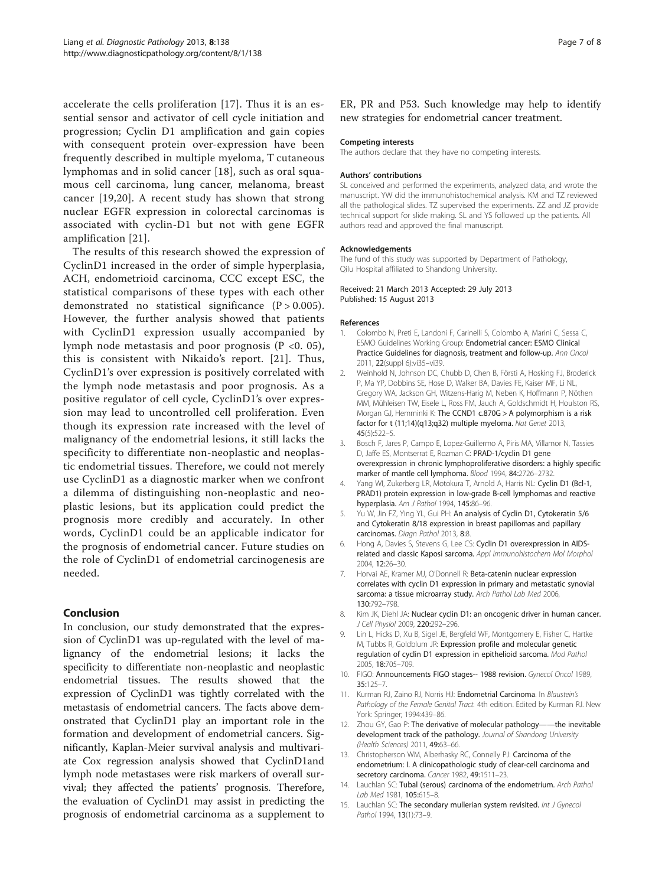<span id="page-6-0"></span>accelerate the cells proliferation [[17](#page-7-0)]. Thus it is an essential sensor and activator of cell cycle initiation and progression; Cyclin D1 amplification and gain copies with consequent protein over-expression have been frequently described in multiple myeloma, T cutaneous lymphomas and in solid cancer [\[18\]](#page-7-0), such as oral squamous cell carcinoma, lung cancer, melanoma, breast cancer [[19,20\]](#page-7-0). A recent study has shown that strong nuclear EGFR expression in colorectal carcinomas is associated with cyclin-D1 but not with gene EGFR amplification [[21\]](#page-7-0).

The results of this research showed the expression of CyclinD1 increased in the order of simple hyperplasia, ACH, endometrioid carcinoma, CCC except ESC, the statistical comparisons of these types with each other demonstrated no statistical significance  $(P > 0.005)$ . However, the further analysis showed that patients with CyclinD1 expression usually accompanied by lymph node metastasis and poor prognosis ( $P < 0.05$ ), this is consistent with Nikaido's report. [[21](#page-7-0)]. Thus, CyclinD1's over expression is positively correlated with the lymph node metastasis and poor prognosis. As a positive regulator of cell cycle, CyclinD1's over expression may lead to uncontrolled cell proliferation. Even though its expression rate increased with the level of malignancy of the endometrial lesions, it still lacks the specificity to differentiate non-neoplastic and neoplastic endometrial tissues. Therefore, we could not merely use CyclinD1 as a diagnostic marker when we confront a dilemma of distinguishing non-neoplastic and neoplastic lesions, but its application could predict the prognosis more credibly and accurately. In other words, CyclinD1 could be an applicable indicator for the prognosis of endometrial cancer. Future studies on the role of CyclinD1 of endometrial carcinogenesis are needed.

# Conclusion

In conclusion, our study demonstrated that the expression of CyclinD1 was up-regulated with the level of malignancy of the endometrial lesions; it lacks the specificity to differentiate non-neoplastic and neoplastic endometrial tissues. The results showed that the expression of CyclinD1 was tightly correlated with the metastasis of endometrial cancers. The facts above demonstrated that CyclinD1 play an important role in the formation and development of endometrial cancers. Significantly, Kaplan-Meier survival analysis and multivariate Cox regression analysis showed that CyclinD1and lymph node metastases were risk markers of overall survival; they affected the patients' prognosis. Therefore, the evaluation of CyclinD1 may assist in predicting the prognosis of endometrial carcinoma as a supplement to ER, PR and P53. Such knowledge may help to identify new strategies for endometrial cancer treatment.

#### Competing interests

The authors declare that they have no competing interests.

#### Authors' contributions

SL conceived and performed the experiments, analyzed data, and wrote the manuscript. YW did the immunohistochemical analysis. KM and TZ reviewed all the pathological slides. TZ supervised the experiments. ZZ and JZ provide technical support for slide making. SL and YS followed up the patients. All authors read and approved the final manuscript.

#### Acknowledgements

The fund of this study was supported by Department of Pathology, Qilu Hospital affiliated to Shandong University.

#### Received: 21 March 2013 Accepted: 29 July 2013 Published: 15 August 2013

#### References

- 1. Colombo N, Preti E, Landoni F, Carinelli S, Colombo A, Marini C, Sessa C, ESMO Guidelines Working Group: Endometrial cancer: ESMO Clinical Practice Guidelines for diagnosis, treatment and follow-up. Ann Oncol 2011, 22(suppl 6):vi35–vi39.
- 2. Weinhold N, Johnson DC, Chubb D, Chen B, Försti A, Hosking FJ, Broderick P, Ma YP, Dobbins SE, Hose D, Walker BA, Davies FE, Kaiser MF, Li NL, Gregory WA, Jackson GH, Witzens-Harig M, Neben K, Hoffmann P, Nöthen MM, Mühleisen TW, Eisele L, Ross FM, Jauch A, Goldschmidt H, Houlston RS, Morgan GJ, Hemminki K: The CCND1 c.870G > A polymorphism is a risk factor for t (11;14)(q13;q32) multiple myeloma. Nat Genet 2013, 45(5):522–5.
- 3. Bosch F, Jares P, Campo E, Lopez-Guillermo A, Piris MA, Villamor N, Tassies D, Jaffe ES, Montserrat E, Rozman C: PRAD-1/cyclin D1 gene overexpression in chronic lymphoproliferative disorders: a highly specific marker of mantle cell lymphoma. Blood 1994, 84:2726–2732.
- 4. Yang WI, Zukerberg LR, Motokura T, Arnold A, Harris NL: Cyclin D1 (Bcl-1, PRAD1) protein expression in low-grade B-cell lymphomas and reactive hyperplasia. Am J Pathol 1994, 145:86–96.
- 5. Yu W, Jin FZ, Ying YL, Gui PH: An analysis of Cyclin D1, Cytokeratin 5/6 and Cytokeratin 8/18 expression in breast papillomas and papillary carcinomas. Diagn Pathol 2013, 8:8.
- 6. Hong A, Davies S, Stevens G, Lee CS: Cyclin D1 overexpression in AIDSrelated and classic Kaposi sarcoma. Appl Immunohistochem Mol Morphol 2004, 12:26–30.
- 7. Horvai AE, Kramer MJ, O'Donnell R: Beta-catenin nuclear expression correlates with cyclin D1 expression in primary and metastatic synovial sarcoma: a tissue microarray study. Arch Pathol Lab Med 2006, 130:792–798.
- 8. Kim JK, Diehl JA: Nuclear cyclin D1: an oncogenic driver in human cancer. J Cell Physiol 2009, 220:292–296.
- 9. Lin L, Hicks D, Xu B, Sigel JE, Bergfeld WF, Montgomery E, Fisher C, Hartke M, Tubbs R, Goldblum JR: Expression profile and molecular genetic regulation of cyclin D1 expression in epithelioid sarcoma. Mod Pathol 2005, 18:705–709.
- 10. FIGO: Announcements FIGO stages-- 1988 revision. Gynecol Oncol 1989, 35:125–7.
- 11. Kurman RJ, Zaino RJ, Norris HJ: Endometrial Carcinoma. In Blaustein's Pathology of the Female Genital Tract. 4th edition. Edited by Kurman RJ. New York: Springer; 1994:439–86.
- 12. Zhou GY, Gao P: The derivative of molecular pathology——the inevitable development track of the pathology. Journal of Shandong University (Health Sciences) 2011, 49:63–66.
- 13. Christopherson WM, Alberhasky RC, Connelly PJ: Carcinoma of the endometrium: I. A clinicopathologic study of clear-cell carcinoma and secretory carcinoma. Cancer 1982, 49:1511-23.
- 14. Lauchlan SC: Tubal (serous) carcinoma of the endometrium. Arch Pathol Lab Med 1981, 105:615–8.
- 15. Lauchlan SC: The secondary mullerian system revisited. Int J Gynecol Pathol 1994, 13(1):73-9.